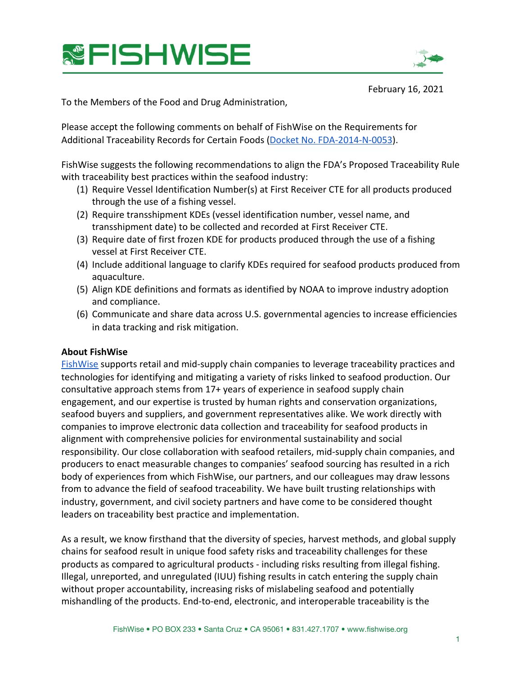



February 16, 2021

To the Members of the Food and Drug Administration,

Please accept the following comments on behalf of FishWise on the Requirements for Additional Traceability Records for Certain Foods (Docket No. FDA-2014-N-0053).

FishWise suggests the following recommendations to align the FDA's Proposed Traceability Rule with traceability best practices within the seafood industry:

- (1) Require Vessel Identification Number(s) at First Receiver CTE for all products produced through the use of a fishing vessel.
- (2) Require transshipment KDEs (vessel identification number, vessel name, and transshipment date) to be collected and recorded at First Receiver CTE.
- (3) Require date of first frozen KDE for products produced through the use of a fishing vessel at First Receiver CTE.
- (Å) Include additional language to clarify KDEs required for seafood products produced from aquaculture.
- (5) Align KDE definitions and formats as identified by NOAA to improve industry adoption and compliance.
- (Ç) Communicate and share data across U.S. governmental agencies to increase efficiencies in data tracking and risk mitigation.

### **About FishWise**

[FishWise](https://fishwise.org/) supports retail and mid-supply chain companies to leverage traceability practices and technologies for identifying and mitigating a variety of risks linked to seafood production. Our consultative approach stems from 17+ years of experience in seafood supply chain engagement, and our expertise is trusted by human rights and conservation organizations, seafood buyers and suppliers, and government representatives alike. We work directly with companies to improve electronic data collection and traceability for seafood products in alignment with comprehensive policies for environmental sustainability and social responsibility. Our close collaboration with seafood retailers, mid-supply chain companies, and producers to enact measurable changes to companies' seafood sourcing has resulted in a rich body of experiences from which FishWise, our partners, and our colleagues may draw lessons from to advance the field of seafood traceability. We have built trusting relationships with industry, government, and civil society partners and have come to be considered thought leaders on traceability best practice and implementation.

As a result, we know firsthand that the diversity of species, harvest methods, and global supply chains for seafood result in unique food safety risks and traceability challenges for these products as compared to agricultural products - including risks resulting from illegal fishing. Illegal, unreported, and unregulated (IUU) fishing results in catch entering the supply chain without proper accountability, increasing risks of mislabeling seafood and potentially mishandling of the products. End-to-end, electronic, and interoperable traceability is the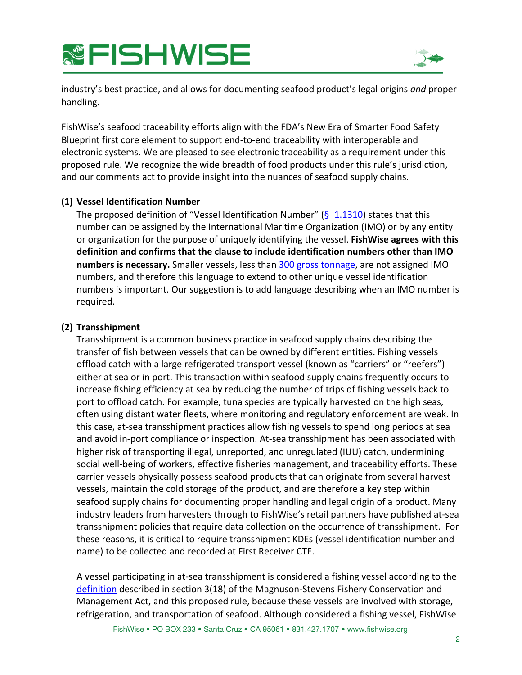# **&FISHWISE**



industry's best practice, and allows for documenting seafood product's legal origins *and* proper handling.

FishWise's seafood traceability efforts align with the FDA's New Era of Smarter Food Safety Blueprint first core element to support end-to-end traceability with interoperable and electronic systems. We are pleased to see electronic traceability as a requirement under this proposed rule. We recognize the wide breadth of food products under this rule's jurisdiction, and our comments act to provide insight into the nuances of seafood supply chains.

## **(1) Vessel Identification Number**

The proposed definition of "Vessel Identification Number" ( $\frac{6}{5}$  1.1310) states that this number can be assigned by the International Maritime Organization (IMO) or by any entity or organization for the purpose of uniquely identifying the vessel. **FishWise agrees with this** definition and confirms that the clause to include identification numbers other than IMO **numbers is necessary.** Smaller vessels, less than 300 gross tonnage, are not assigned IMO numbers, and therefore this language to extend to other unique vessel identification numbers is important. Our suggestion is to add language describing when an IMO number is required.

## **(2) Transshipment**

Transshipment is a common business practice in seafood supply chains describing the transfer of fish between vessels that can be owned by different entities. Fishing vessels offload catch with a large refrigerated transport vessel (known as "carriers" or "reefers") either at sea or in port. This transaction within seafood supply chains frequently occurs to increase fishing efficiency at sea by reducing the number of trips of fishing vessels back to port to offload catch. For example, tuna species are typically harvested on the high seas, often using distant water fleets, where monitoring and regulatory enforcement are weak. In this case, at-sea transshipment practices allow fishing vessels to spend long periods at sea and avoid in-port compliance or inspection. At-sea transshipment has been associated with higher risk of transporting illegal, unreported, and unregulated (IUU) catch, undermining social well-being of workers, effective fisheries management, and traceability efforts. These carrier vessels physically possess seafood products that can originate from several harvest vessels, maintain the cold storage of the product, and are therefore a key step within seafood supply chains for documenting proper handling and legal origin of a product. Many industry leaders from harvesters through to FishWise's retail partners have published at-sea transshipment policies that require data collection on the occurrence of transshipment. For these reasons, it is critical to require transshipment KDEs (vessel identification number and name) to be collected and recorded at First Receiver CTE.

A vessel participating in at-sea transshipment is considered a fishing vessel according to the [definition](https://www.federalregister.gov/d/2020-20100/p-210) described in section  $3(18)$  of the Magnuson-Stevens Fishery Conservation and Management Act, and this proposed rule, because these vessels are involved with storage, refrigeration, and transportation of seafood. Although considered a fishing vessel, FishWise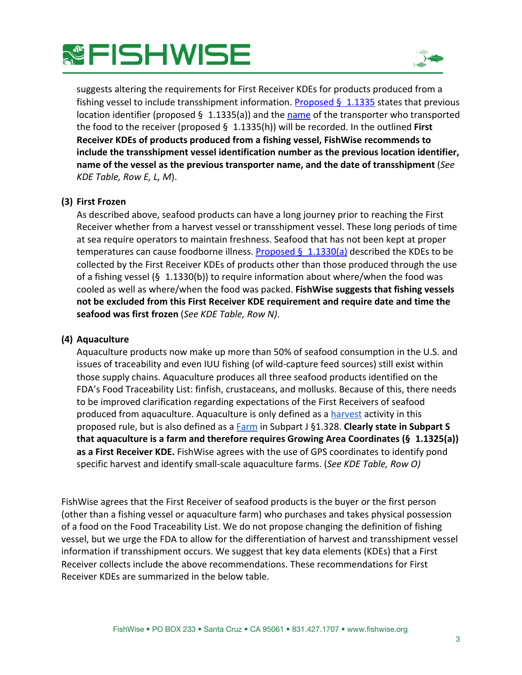## **&FISHWISE**



suggests altering the requirements for First Receiver KDEs for products produced from a fishing vessel to include transshipment information. [Proposed §](https://www.federalregister.gov/d/2020-20100/p-311) 1.1335 states that previous location identifier (proposed  $\S$  1.1335(a)) and the [name](https://www.federalregister.gov/d/2020-20100/p-324) of the transporter who transported the food to the receiver (proposed  $\S$  1.1335(h)) will be recorded. In the outlined **First** Receiver KDEs of products produced from a fishing vessel, FishWise recommends to include the transshipment vessel identification number as the previous location identifier, **name of the vessel as the previous transporter name, and the date of transshipment** (*See KDE Table, Row E, L, M*).

### **(3) First Frozen**

As described above, seafood products can have a long journey prior to reaching the First Receiver whether from a harvest vessel or transshipment vessel. These long periods of time at sea require operators to maintain freshness. Seafood that has not been kept at proper temperatures can cause foodborne illness. **Proposed § 1.1330(a)** described the KDEs to be collected by the First Receiver KDEs of products other than those produced through the use of a fishing vessel (§ 1.1330(b)) to require information about where/when the food was cooled as well as where/when the food was packed. **FishWise suggests that fishing vessels** not be excluded from this First Receiver KDE requirement and require date and time the seafood was first frozen (*See KDE Table, Row N*).

### **(4)** Aquaculture

Aquaculture products now make up more than 50% of seafood consumption in the U.S. and issues of traceability and even IUU fishing (of wild-capture feed sources) still exist within those supply chains. Aquaculture produces all three seafood products identified on the FDA's Food Traceability List: finfish, crustaceans, and mollusks. Because of this, there needs to be improved clarification regarding expectations of the First Receivers of seafood produced from aquaculture. Aquaculture is only defined as a [harvest](https://www.federalregister.gov/d/2020-20100/p-213) activity in this proposed rule, but is also defined as a [Farm](https://www.federalregister.gov/d/2020-20100/p-567) in Subpart J §1.328. Clearly state in Subpart S **ight and incident and thegeth and thegaging Growing Area Coordinates (§ 1.1325(a))** as a First Receiver KDE. FishWise agrees with the use of GPS coordinates to identify pond specific harvest and identify small-scale aquaculture farms. (See KDE Table, Row O)

FishWise agrees that the First Receiver of seafood products is the buyer or the first person (other than a fishing vessel or aquaculture farm) who purchases and takes physical possession of a food on the Food Traceability List. We do not propose changing the definition of fishing vessel, but we urge the FDA to allow for the differentiation of harvest and transshipment vessel information if transshipment occurs. We suggest that key data elements (KDEs) that a First Receiver collects include the above recommendations. These recommendations for First Receiver KDEs are summarized in the below table.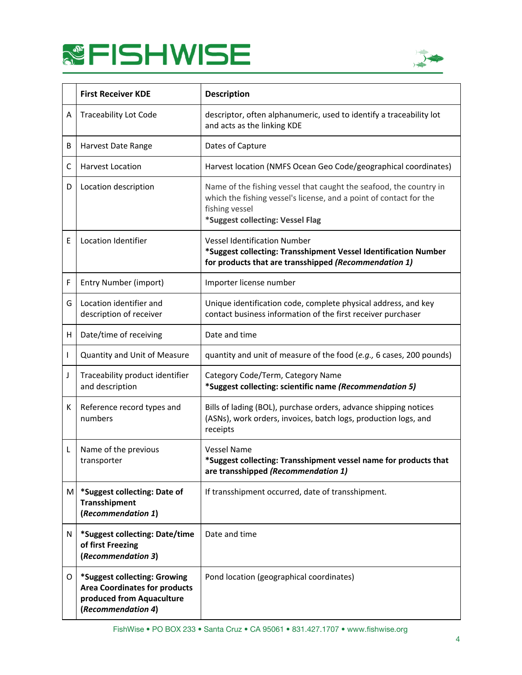



|   | <b>First Receiver KDE</b>                                                                                               | <b>Description</b>                                                                                                                                                                             |
|---|-------------------------------------------------------------------------------------------------------------------------|------------------------------------------------------------------------------------------------------------------------------------------------------------------------------------------------|
| Α | <b>Traceability Lot Code</b>                                                                                            | descriptor, often alphanumeric, used to identify a traceability lot<br>and acts as the linking KDE                                                                                             |
| В | Harvest Date Range                                                                                                      | Dates of Capture                                                                                                                                                                               |
| C | <b>Harvest Location</b>                                                                                                 | Harvest location (NMFS Ocean Geo Code/geographical coordinates)                                                                                                                                |
| D | Location description                                                                                                    | Name of the fishing vessel that caught the seafood, the country in<br>which the fishing vessel's license, and a point of contact for the<br>fishing vessel<br>*Suggest collecting: Vessel Flag |
| E | Location Identifier                                                                                                     | <b>Vessel Identification Number</b><br>*Suggest collecting: Transshipment Vessel Identification Number<br>for products that are transshipped (Recommendation 1)                                |
| F | Entry Number (import)                                                                                                   | Importer license number                                                                                                                                                                        |
| G | Location identifier and<br>description of receiver                                                                      | Unique identification code, complete physical address, and key<br>contact business information of the first receiver purchaser                                                                 |
| н | Date/time of receiving                                                                                                  | Date and time                                                                                                                                                                                  |
| T | Quantity and Unit of Measure                                                                                            | quantity and unit of measure of the food (e.g., 6 cases, 200 pounds)                                                                                                                           |
| J | Traceability product identifier<br>and description                                                                      | Category Code/Term, Category Name<br>*Suggest collecting: scientific name (Recommendation 5)                                                                                                   |
| К | Reference record types and<br>numbers                                                                                   | Bills of lading (BOL), purchase orders, advance shipping notices<br>(ASNs), work orders, invoices, batch logs, production logs, and<br>receipts                                                |
| L | Name of the previous<br>transporter                                                                                     | <b>Vessel Name</b><br>*Suggest collecting: Transshipment vessel name for products that<br>are transshipped (Recommendation 1)                                                                  |
| M | *Suggest collecting: Date of<br><b>Transshipment</b><br>(Recommendation 1)                                              | If transshipment occurred, date of transshipment.                                                                                                                                              |
| N | *Suggest collecting: Date/time<br>of first Freezing<br>(Recommendation 3)                                               | Date and time                                                                                                                                                                                  |
| O | *Suggest collecting: Growing<br><b>Area Coordinates for products</b><br>produced from Aquaculture<br>(Recommendation 4) | Pond location (geographical coordinates)                                                                                                                                                       |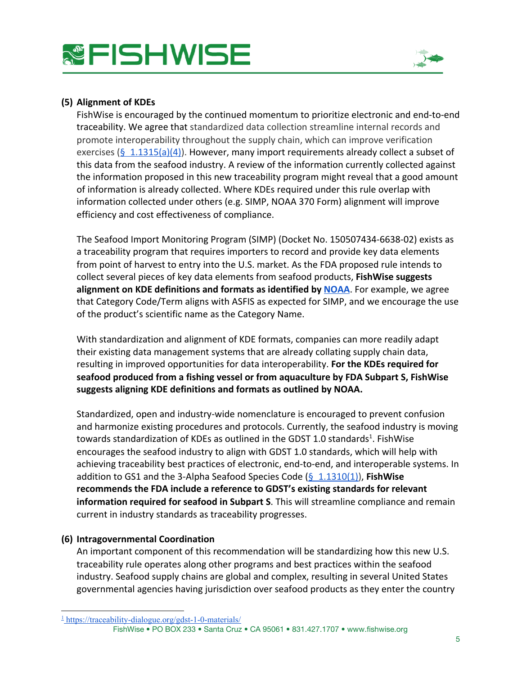



## (5) Alignment of KDEs

FishWise is encouraged by the continued momentum to prioritize electronic and end-to-end traceability. We agree that standardized data collection streamline internal records and promote interoperability throughout the supply chain, which can improve verification exercises (§ 1.1315(a)(4)). However, many import requirements already collect a subset of this data from the seafood industry. A review of the information currently collected against the information proposed in this new traceability program might reveal that a good amount of information is already collected. Where KDEs required under this rule overlap with information collected under others (e.g. SIMP, NOAA 370 Form) alignment will improve efficiency and cost effectiveness of compliance.

The Seafood Import Monitoring Program (SIMP) (Docket No. 150507434-6638-02) exists as a traceability program that requires importers to record and provide key data elements from point of harvest to entry into the U.S. market. As the FDA proposed rule intends to collect several pieces of key data elements from seafood products, FishWise suggests alignment on KDE definitions and formats as identified by NOAA. For example, we agree that Category Code/Term aligns with ASFIS as expected for SIMP, and we encourage the use of the product's scientific name as the Category Name.

With standardization and alignment of KDE formats, companies can more readily adapt their existing data management systems that are already collating supply chain data, resulting in improved opportunities for data interoperability. For the KDEs required for seafood produced from a fishing vessel or from aquaculture by FDA Subpart S, FishWise suggests aligning KDE definitions and formats as outlined by NOAA.

Standardized, open and industry-wide nomenclature is encouraged to prevent confusion and harmonize existing procedures and protocols. Currently, the seafood industry is moving towards standardization of KDEs as outlined in the GDST 1.0 standards<sup>1</sup>. FishWise encourages the seafood industry to align with GDST 1.0 standards, which will help with achieving traceability best practices of electronic, end-to-end, and interoperable systems. In addition to GS1 and the 3-Alpha Seafood Species Code ( $\S$  1.1310(1)), FishWise recommends the FDA include a reference to GDST's existing standards for relevant information required for seafood in Subpart S. This will streamline compliance and remain current in industry standards as traceability progresses.

### (6) Intragovernmental Coordination

An important component of this recommendation will be standardizing how this new U.S. traceability rule operates along other programs and best practices within the seafood industry. Seafood supply chains are global and complex, resulting in several United States governmental agencies having jurisdiction over seafood products as they enter the country

 $\frac{1}{2}$  https://traceability-dialogue.org/gdst-1-0-materials/ FishWise . PO BOX 233 . Santa Cruz . CA 95061 . 831.427.1707 . www.fishwise.org